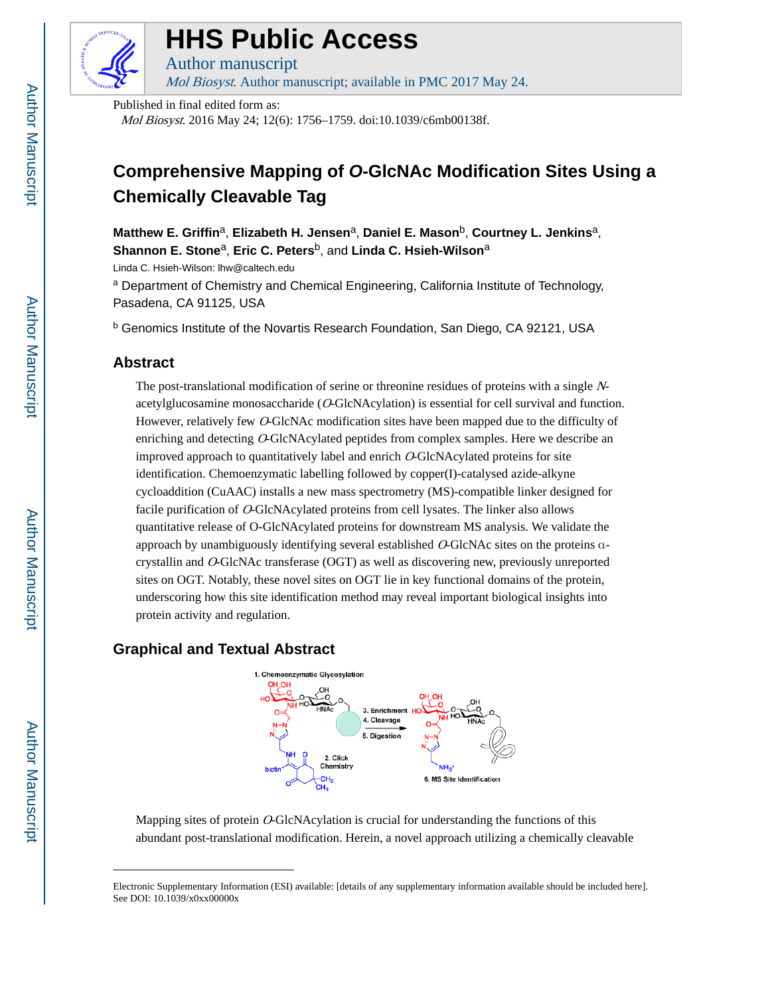

# **HHS Public Access**

Author manuscript Mol Biosyst. Author manuscript; available in PMC 2017 May 24.

Published in final edited form as: Mol Biosyst. 2016 May 24; 12(6): 1756–1759. doi:10.1039/c6mb00138f.

## **Comprehensive Mapping of O-GlcNAc Modification Sites Using a Chemically Cleavable Tag**

**Matthew E. Griffin**a, **Elizabeth H. Jensen**a, **Daniel E. Mason**b, **Courtney L. Jenkins**a, **Shannon E. Stone**a, **Eric C. Peters**b, and **Linda C. Hsieh-Wilson**<sup>a</sup>

Linda C. Hsieh-Wilson: lhw@caltech.edu

<sup>a</sup> Department of Chemistry and Chemical Engineering, California Institute of Technology, Pasadena, CA 91125, USA

**b Genomics Institute of the Novartis Research Foundation, San Diego, CA 92121, USA** 

#### **Abstract**

The post-translational modification of serine or threonine residues of proteins with a single Nacetylglucosamine monosaccharide (O-GlcNAcylation) is essential for cell survival and function. However, relatively few O-GlcNAc modification sites have been mapped due to the difficulty of enriching and detecting O-GlcNAcylated peptides from complex samples. Here we describe an improved approach to quantitatively label and enrich O-GlcNAcylated proteins for site identification. Chemoenzymatic labelling followed by copper(I)-catalysed azide-alkyne cycloaddition (CuAAC) installs a new mass spectrometry (MS)-compatible linker designed for facile purification of O-GlcNAcylated proteins from cell lysates. The linker also allows quantitative release of O-GlcNAcylated proteins for downstream MS analysis. We validate the approach by unambiguously identifying several established O-GlcNAc sites on the proteins αcrystallin and O-GlcNAc transferase (OGT) as well as discovering new, previously unreported sites on OGT. Notably, these novel sites on OGT lie in key functional domains of the protein, underscoring how this site identification method may reveal important biological insights into protein activity and regulation.

### **Graphical and Textual Abstract**



Mapping sites of protein  $O$ -GlcNAcylation is crucial for understanding the functions of this abundant post-translational modification. Herein, a novel approach utilizing a chemically cleavable

Electronic Supplementary Information (ESI) available: [details of any supplementary information available should be included here]. See DOI: 10.1039/x0xx00000x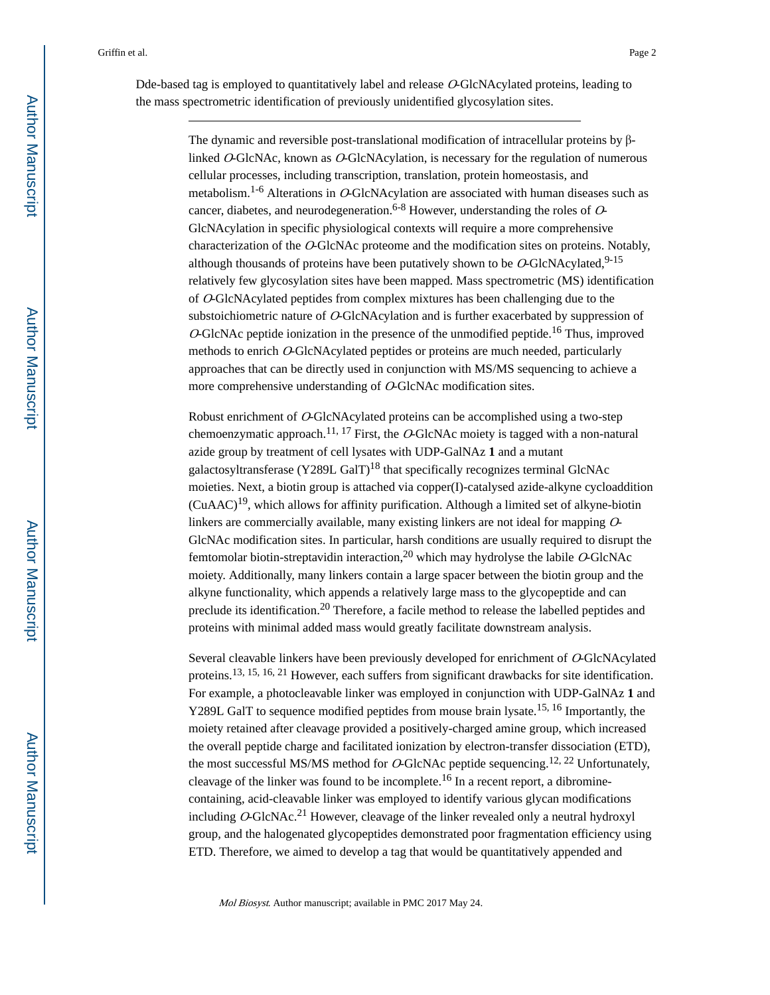Dde-based tag is employed to quantitatively label and release O-GlcNAcylated proteins, leading to the mass spectrometric identification of previously unidentified glycosylation sites.

> The dynamic and reversible post-translational modification of intracellular proteins by βlinked O-GlcNAc, known as O-GlcNAcylation, is necessary for the regulation of numerous cellular processes, including transcription, translation, protein homeostasis, and metabolism.<sup>1-6</sup> Alterations in O-GlcNAcylation are associated with human diseases such as cancer, diabetes, and neurodegeneration.<sup>6-8</sup> However, understanding the roles of  $O$ -GlcNAcylation in specific physiological contexts will require a more comprehensive characterization of the O-GlcNAc proteome and the modification sites on proteins. Notably, although thousands of proteins have been putatively shown to be  $O-GlcNAcylated$ ,  $9-15$ relatively few glycosylation sites have been mapped. Mass spectrometric (MS) identification of O-GlcNAcylated peptides from complex mixtures has been challenging due to the substoichiometric nature of O-GlcNAcylation and is further exacerbated by suppression of  $O$ -GlcNAc peptide ionization in the presence of the unmodified peptide.<sup>16</sup> Thus, improved methods to enrich O-GlcNAcylated peptides or proteins are much needed, particularly approaches that can be directly used in conjunction with MS/MS sequencing to achieve a more comprehensive understanding of O-GlcNAc modification sites.

> Robust enrichment of O-GlcNAcylated proteins can be accomplished using a two-step chemoenzymatic approach.<sup>11, 17</sup> First, the O-GlcNAc moiety is tagged with a non-natural azide group by treatment of cell lysates with UDP-GalNAz **1** and a mutant galactosyltransferase (Y289L GalT)<sup>18</sup> that specifically recognizes terminal GlcNAc moieties. Next, a biotin group is attached via copper(I)-catalysed azide-alkyne cycloaddition  $(CuAAC)^{19}$ , which allows for affinity purification. Although a limited set of alkyne-biotin linkers are commercially available, many existing linkers are not ideal for mapping  $O$ -GlcNAc modification sites. In particular, harsh conditions are usually required to disrupt the femtomolar biotin-streptavidin interaction,<sup>20</sup> which may hydrolyse the labile  $O$ -GlcNAc moiety. Additionally, many linkers contain a large spacer between the biotin group and the alkyne functionality, which appends a relatively large mass to the glycopeptide and can preclude its identification.20 Therefore, a facile method to release the labelled peptides and proteins with minimal added mass would greatly facilitate downstream analysis.

> Several cleavable linkers have been previously developed for enrichment of O-GlcNAcylated proteins.13, 15, 16, 21 However, each suffers from significant drawbacks for site identification. For example, a photocleavable linker was employed in conjunction with UDP-GalNAz **1** and Y289L GalT to sequence modified peptides from mouse brain lysate.<sup>15, 16</sup> Importantly, the moiety retained after cleavage provided a positively-charged amine group, which increased the overall peptide charge and facilitated ionization by electron-transfer dissociation (ETD), the most successful MS/MS method for O-GlcNAc peptide sequencing.<sup>12, 22</sup> Unfortunately, cleavage of the linker was found to be incomplete.16 In a recent report, a dibrominecontaining, acid-cleavable linker was employed to identify various glycan modifications including  $O-GlcNAc<sup>21</sup>$  However, cleavage of the linker revealed only a neutral hydroxyl group, and the halogenated glycopeptides demonstrated poor fragmentation efficiency using ETD. Therefore, we aimed to develop a tag that would be quantitatively appended and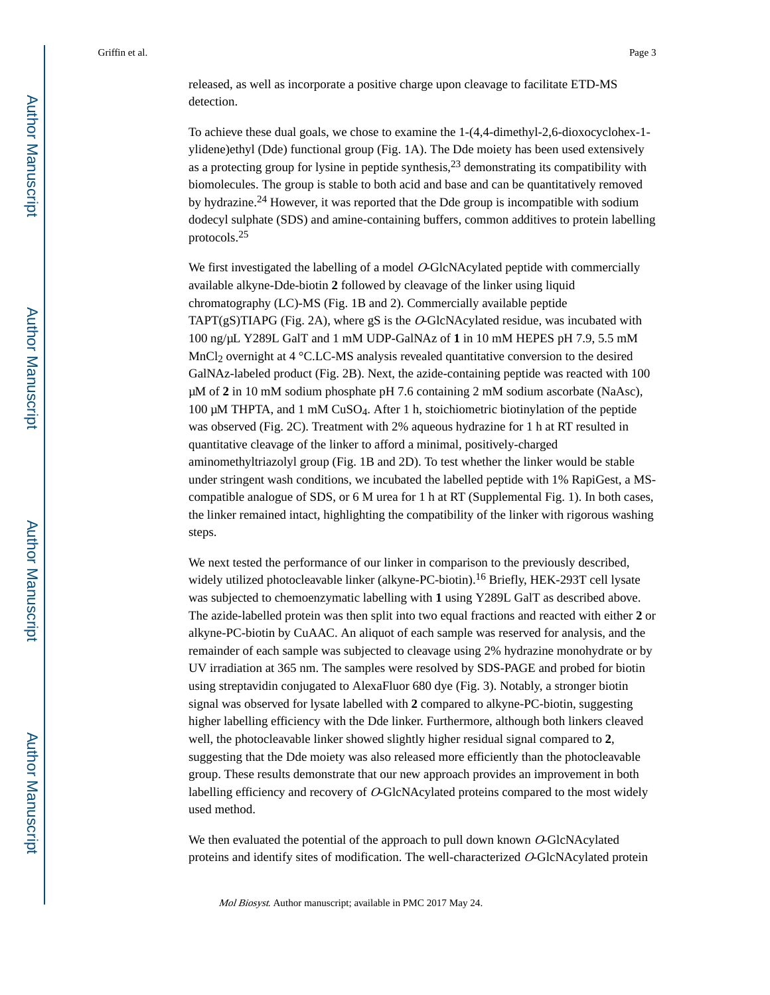released, as well as incorporate a positive charge upon cleavage to facilitate ETD-MS detection.

To achieve these dual goals, we chose to examine the 1-(4,4-dimethyl-2,6-dioxocyclohex-1 ylidene)ethyl (Dde) functional group (Fig. 1A). The Dde moiety has been used extensively as a protecting group for lysine in peptide synthesis,  $2<sup>3</sup>$  demonstrating its compatibility with biomolecules. The group is stable to both acid and base and can be quantitatively removed by hydrazine.24 However, it was reported that the Dde group is incompatible with sodium dodecyl sulphate (SDS) and amine-containing buffers, common additives to protein labelling protocols.<sup>25</sup>

We first investigated the labelling of a model  $O$ -GlcNAcylated peptide with commercially available alkyne-Dde-biotin **2** followed by cleavage of the linker using liquid chromatography (LC)-MS (Fig. 1B and 2). Commercially available peptide TAPT(gS)TIAPG (Fig. 2A), where gS is the  $O-GlcNAcylated$  residue, was incubated with 100 ng/μL Y289L GalT and 1 mM UDP-GalNAz of **1** in 10 mM HEPES pH 7.9, 5.5 mM MnCl<sub>2</sub> overnight at  $4 \degree$ C.LC-MS analysis revealed quantitative conversion to the desired GalNAz-labeled product (Fig. 2B). Next, the azide-containing peptide was reacted with 100 μM of **2** in 10 mM sodium phosphate pH 7.6 containing 2 mM sodium ascorbate (NaAsc), 100 μM THPTA, and 1 mM CuSO<sub>4</sub>. After 1 h, stoichiometric biotinylation of the peptide was observed (Fig. 2C). Treatment with 2% aqueous hydrazine for 1 h at RT resulted in quantitative cleavage of the linker to afford a minimal, positively-charged aminomethyltriazolyl group (Fig. 1B and 2D). To test whether the linker would be stable under stringent wash conditions, we incubated the labelled peptide with 1% RapiGest, a MScompatible analogue of SDS, or 6 M urea for 1 h at RT (Supplemental Fig. 1). In both cases, the linker remained intact, highlighting the compatibility of the linker with rigorous washing steps.

We next tested the performance of our linker in comparison to the previously described, widely utilized photocleavable linker (alkyne-PC-biotin).<sup>16</sup> Briefly, HEK-293T cell lysate was subjected to chemoenzymatic labelling with **1** using Y289L GalT as described above. The azide-labelled protein was then split into two equal fractions and reacted with either **2** or alkyne-PC-biotin by CuAAC. An aliquot of each sample was reserved for analysis, and the remainder of each sample was subjected to cleavage using 2% hydrazine monohydrate or by UV irradiation at 365 nm. The samples were resolved by SDS-PAGE and probed for biotin using streptavidin conjugated to AlexaFluor 680 dye (Fig. 3). Notably, a stronger biotin signal was observed for lysate labelled with **2** compared to alkyne-PC-biotin, suggesting higher labelling efficiency with the Dde linker. Furthermore, although both linkers cleaved well, the photocleavable linker showed slightly higher residual signal compared to **2**, suggesting that the Dde moiety was also released more efficiently than the photocleavable group. These results demonstrate that our new approach provides an improvement in both labelling efficiency and recovery of O-GlcNAcylated proteins compared to the most widely used method.

We then evaluated the potential of the approach to pull down known O-GlcNAcylated proteins and identify sites of modification. The well-characterized O-GlcNAcylated protein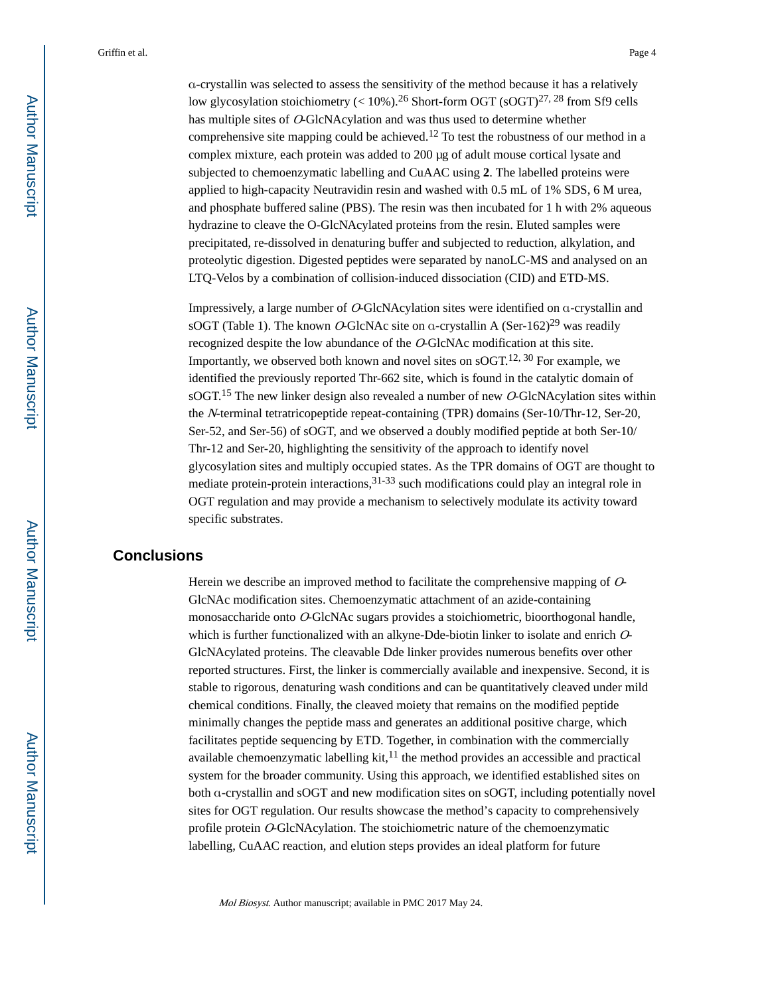α-crystallin was selected to assess the sensitivity of the method because it has a relatively low glycosylation stoichiometry ( $< 10\%$ ).<sup>26</sup> Short-form OGT (sOGT)<sup>27, 28</sup> from Sf9 cells has multiple sites of O-GlcNAcylation and was thus used to determine whether comprehensive site mapping could be achieved.<sup>12</sup> To test the robustness of our method in a complex mixture, each protein was added to 200 μg of adult mouse cortical lysate and subjected to chemoenzymatic labelling and CuAAC using **2**. The labelled proteins were applied to high-capacity Neutravidin resin and washed with 0.5 mL of 1% SDS, 6 M urea, and phosphate buffered saline (PBS). The resin was then incubated for 1 h with 2% aqueous hydrazine to cleave the O-GlcNAcylated proteins from the resin. Eluted samples were precipitated, re-dissolved in denaturing buffer and subjected to reduction, alkylation, and proteolytic digestion. Digested peptides were separated by nanoLC-MS and analysed on an LTQ-Velos by a combination of collision-induced dissociation (CID) and ETD-MS.

Impressively, a large number of O-GlcNAcylation sites were identified on α-crystallin and sOGT (Table 1). The known O-GlcNAc site on  $\alpha$ -crystallin A (Ser-162)<sup>29</sup> was readily recognized despite the low abundance of the O-GlcNAc modification at this site. Importantly, we observed both known and novel sites on sOGT.<sup>12, 30</sup> For example, we identified the previously reported Thr-662 site, which is found in the catalytic domain of  $sOGT<sup>15</sup>$ . The new linker design also revealed a number of new O-GlcNAcylation sites within the N-terminal tetratricopeptide repeat-containing (TPR) domains (Ser-10/Thr-12, Ser-20, Ser-52, and Ser-56) of sOGT, and we observed a doubly modified peptide at both Ser-10/ Thr-12 and Ser-20, highlighting the sensitivity of the approach to identify novel glycosylation sites and multiply occupied states. As the TPR domains of OGT are thought to mediate protein-protein interactions,  $31-33$  such modifications could play an integral role in OGT regulation and may provide a mechanism to selectively modulate its activity toward specific substrates.

#### **Conclusions**

Herein we describe an improved method to facilitate the comprehensive mapping of O-GlcNAc modification sites. Chemoenzymatic attachment of an azide-containing monosaccharide onto O-GlcNAc sugars provides a stoichiometric, bioorthogonal handle, which is further functionalized with an alkyne-Dde-biotin linker to isolate and enrich O-GlcNAcylated proteins. The cleavable Dde linker provides numerous benefits over other reported structures. First, the linker is commercially available and inexpensive. Second, it is stable to rigorous, denaturing wash conditions and can be quantitatively cleaved under mild chemical conditions. Finally, the cleaved moiety that remains on the modified peptide minimally changes the peptide mass and generates an additional positive charge, which facilitates peptide sequencing by ETD. Together, in combination with the commercially available chemoenzymatic labelling kit, $^{11}$  the method provides an accessible and practical system for the broader community. Using this approach, we identified established sites on both α-crystallin and sOGT and new modification sites on sOGT, including potentially novel sites for OGT regulation. Our results showcase the method's capacity to comprehensively profile protein O-GlcNAcylation. The stoichiometric nature of the chemoenzymatic labelling, CuAAC reaction, and elution steps provides an ideal platform for future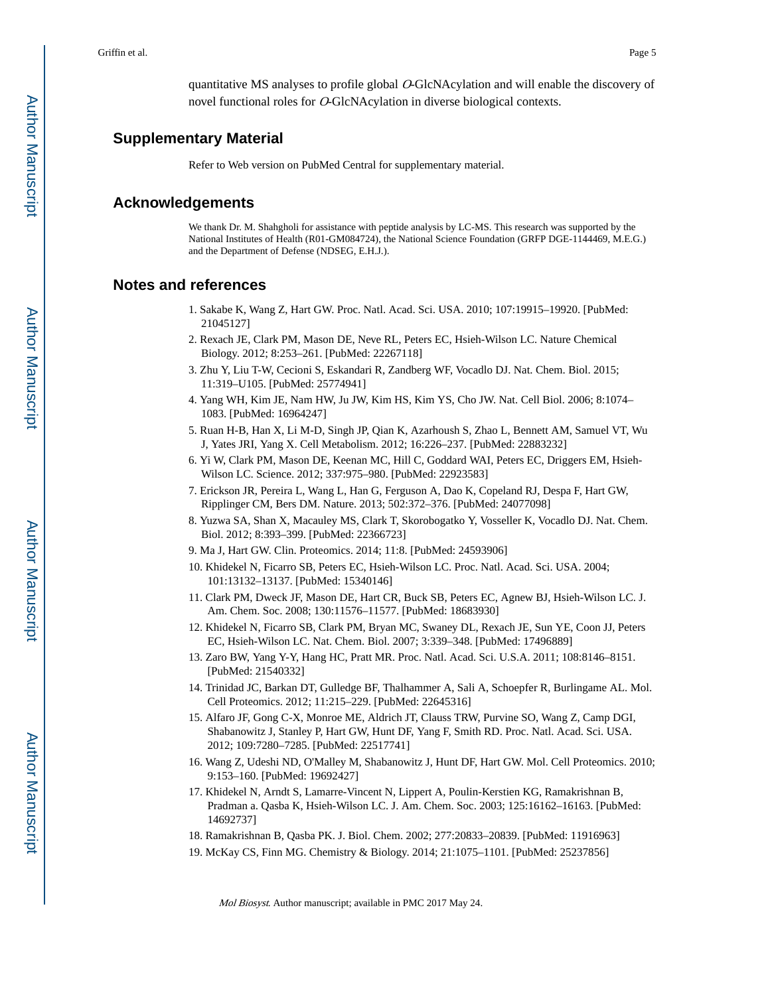quantitative MS analyses to profile global O-GlcNAcylation and will enable the discovery of novel functional roles for O-GlcNAcylation in diverse biological contexts.

#### **Supplementary Material**

Refer to Web version on PubMed Central for supplementary material.

#### **Acknowledgements**

We thank Dr. M. Shahgholi for assistance with peptide analysis by LC-MS. This research was supported by the National Institutes of Health (R01-GM084724), the National Science Foundation (GRFP DGE-1144469, M.E.G.) and the Department of Defense (NDSEG, E.H.J.).

#### **Notes and references**

- 1. Sakabe K, Wang Z, Hart GW. Proc. Natl. Acad. Sci. USA. 2010; 107:19915–19920. [PubMed: 21045127]
- 2. Rexach JE, Clark PM, Mason DE, Neve RL, Peters EC, Hsieh-Wilson LC. Nature Chemical Biology. 2012; 8:253–261. [PubMed: 22267118]
- 3. Zhu Y, Liu T-W, Cecioni S, Eskandari R, Zandberg WF, Vocadlo DJ. Nat. Chem. Biol. 2015; 11:319–U105. [PubMed: 25774941]
- 4. Yang WH, Kim JE, Nam HW, Ju JW, Kim HS, Kim YS, Cho JW. Nat. Cell Biol. 2006; 8:1074– 1083. [PubMed: 16964247]
- 5. Ruan H-B, Han X, Li M-D, Singh JP, Qian K, Azarhoush S, Zhao L, Bennett AM, Samuel VT, Wu J, Yates JRI, Yang X. Cell Metabolism. 2012; 16:226–237. [PubMed: 22883232]
- 6. Yi W, Clark PM, Mason DE, Keenan MC, Hill C, Goddard WAI, Peters EC, Driggers EM, Hsieh-Wilson LC. Science. 2012; 337:975–980. [PubMed: 22923583]
- 7. Erickson JR, Pereira L, Wang L, Han G, Ferguson A, Dao K, Copeland RJ, Despa F, Hart GW, Ripplinger CM, Bers DM. Nature. 2013; 502:372–376. [PubMed: 24077098]
- 8. Yuzwa SA, Shan X, Macauley MS, Clark T, Skorobogatko Y, Vosseller K, Vocadlo DJ. Nat. Chem. Biol. 2012; 8:393–399. [PubMed: 22366723]
- 9. Ma J, Hart GW. Clin. Proteomics. 2014; 11:8. [PubMed: 24593906]
- 10. Khidekel N, Ficarro SB, Peters EC, Hsieh-Wilson LC. Proc. Natl. Acad. Sci. USA. 2004; 101:13132–13137. [PubMed: 15340146]
- 11. Clark PM, Dweck JF, Mason DE, Hart CR, Buck SB, Peters EC, Agnew BJ, Hsieh-Wilson LC. J. Am. Chem. Soc. 2008; 130:11576–11577. [PubMed: 18683930]
- 12. Khidekel N, Ficarro SB, Clark PM, Bryan MC, Swaney DL, Rexach JE, Sun YE, Coon JJ, Peters EC, Hsieh-Wilson LC. Nat. Chem. Biol. 2007; 3:339–348. [PubMed: 17496889]
- 13. Zaro BW, Yang Y-Y, Hang HC, Pratt MR. Proc. Natl. Acad. Sci. U.S.A. 2011; 108:8146–8151. [PubMed: 21540332]
- 14. Trinidad JC, Barkan DT, Gulledge BF, Thalhammer A, Sali A, Schoepfer R, Burlingame AL. Mol. Cell Proteomics. 2012; 11:215–229. [PubMed: 22645316]
- 15. Alfaro JF, Gong C-X, Monroe ME, Aldrich JT, Clauss TRW, Purvine SO, Wang Z, Camp DGI, Shabanowitz J, Stanley P, Hart GW, Hunt DF, Yang F, Smith RD. Proc. Natl. Acad. Sci. USA. 2012; 109:7280–7285. [PubMed: 22517741]
- 16. Wang Z, Udeshi ND, O'Malley M, Shabanowitz J, Hunt DF, Hart GW. Mol. Cell Proteomics. 2010; 9:153–160. [PubMed: 19692427]
- 17. Khidekel N, Arndt S, Lamarre-Vincent N, Lippert A, Poulin-Kerstien KG, Ramakrishnan B, Pradman a. Qasba K, Hsieh-Wilson LC. J. Am. Chem. Soc. 2003; 125:16162–16163. [PubMed: 14692737]
- 18. Ramakrishnan B, Qasba PK. J. Biol. Chem. 2002; 277:20833–20839. [PubMed: 11916963]
- 19. McKay CS, Finn MG. Chemistry & Biology. 2014; 21:1075–1101. [PubMed: 25237856]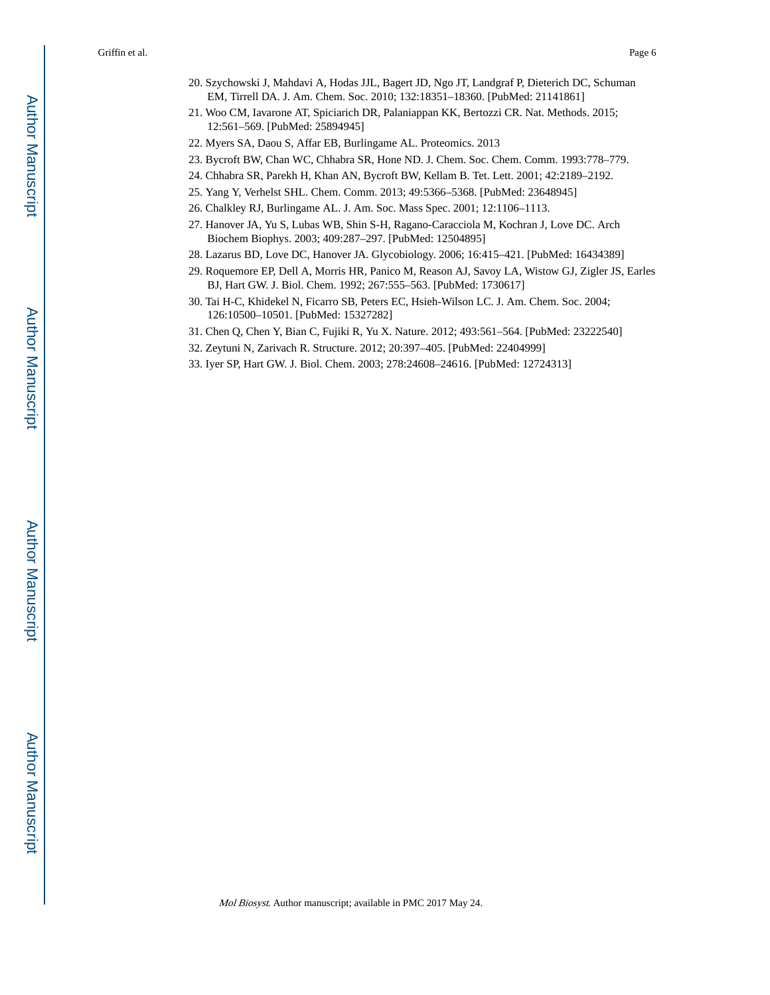- 20. Szychowski J, Mahdavi A, Hodas JJL, Bagert JD, Ngo JT, Landgraf P, Dieterich DC, Schuman EM, Tirrell DA. J. Am. Chem. Soc. 2010; 132:18351–18360. [PubMed: 21141861]
- 21. Woo CM, Iavarone AT, Spiciarich DR, Palaniappan KK, Bertozzi CR. Nat. Methods. 2015; 12:561–569. [PubMed: 25894945]
- 22. Myers SA, Daou S, Affar EB, Burlingame AL. Proteomics. 2013
- 23. Bycroft BW, Chan WC, Chhabra SR, Hone ND. J. Chem. Soc. Chem. Comm. 1993:778–779.
- 24. Chhabra SR, Parekh H, Khan AN, Bycroft BW, Kellam B. Tet. Lett. 2001; 42:2189–2192.
- 25. Yang Y, Verhelst SHL. Chem. Comm. 2013; 49:5366–5368. [PubMed: 23648945]
- 26. Chalkley RJ, Burlingame AL. J. Am. Soc. Mass Spec. 2001; 12:1106–1113.
- 27. Hanover JA, Yu S, Lubas WB, Shin S-H, Ragano-Caracciola M, Kochran J, Love DC. Arch Biochem Biophys. 2003; 409:287–297. [PubMed: 12504895]
- 28. Lazarus BD, Love DC, Hanover JA. Glycobiology. 2006; 16:415–421. [PubMed: 16434389]
- 29. Roquemore EP, Dell A, Morris HR, Panico M, Reason AJ, Savoy LA, Wistow GJ, Zigler JS, Earles BJ, Hart GW. J. Biol. Chem. 1992; 267:555–563. [PubMed: 1730617]
- 30. Tai H-C, Khidekel N, Ficarro SB, Peters EC, Hsieh-Wilson LC. J. Am. Chem. Soc. 2004; 126:10500–10501. [PubMed: 15327282]
- 31. Chen Q, Chen Y, Bian C, Fujiki R, Yu X. Nature. 2012; 493:561–564. [PubMed: 23222540]
- 32. Zeytuni N, Zarivach R. Structure. 2012; 20:397–405. [PubMed: 22404999]
- 33. Iyer SP, Hart GW. J. Biol. Chem. 2003; 278:24608–24616. [PubMed: 12724313]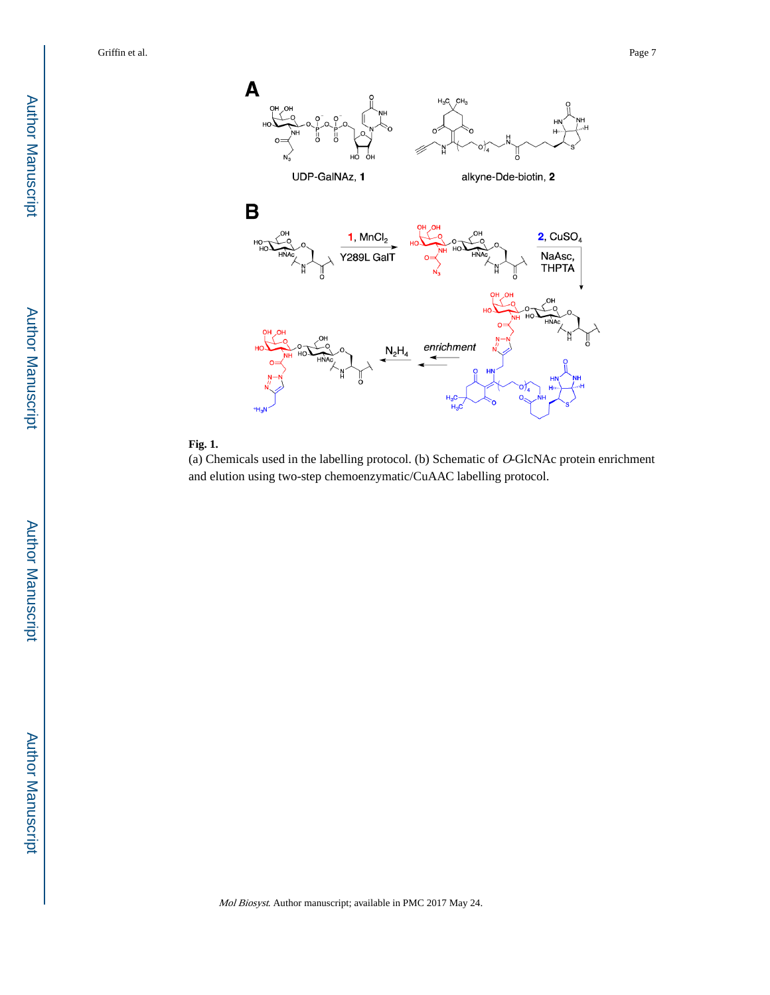

#### **Fig. 1.**

(a) Chemicals used in the labelling protocol. (b) Schematic of O-GlcNAc protein enrichment and elution using two-step chemoenzymatic/CuAAC labelling protocol.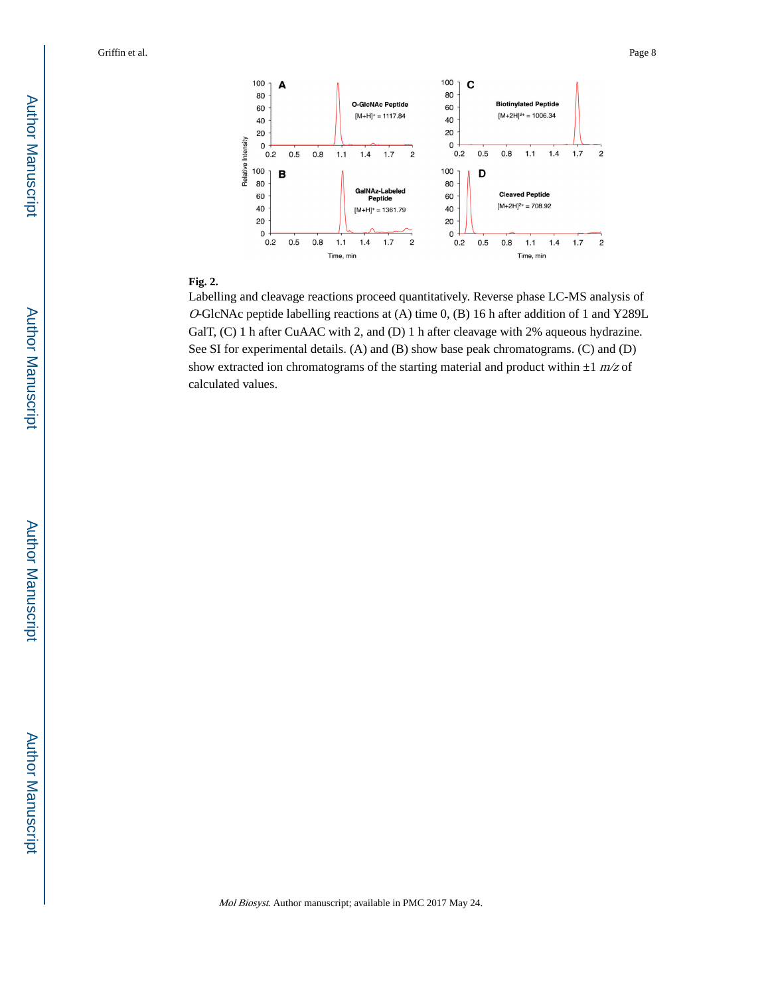

#### **Fig. 2.**

Labelling and cleavage reactions proceed quantitatively. Reverse phase LC-MS analysis of <sup>O</sup>-GlcNAc peptide labelling reactions at (A) time 0, (B) 16 h after addition of 1 and Y289L GalT, (C) 1 h after CuAAC with 2, and (D) 1 h after cleavage with 2% aqueous hydrazine. See SI for experimental details. (A) and (B) show base peak chromatograms. (C) and (D) show extracted ion chromatograms of the starting material and product within  $\pm 1$  m/z of calculated values.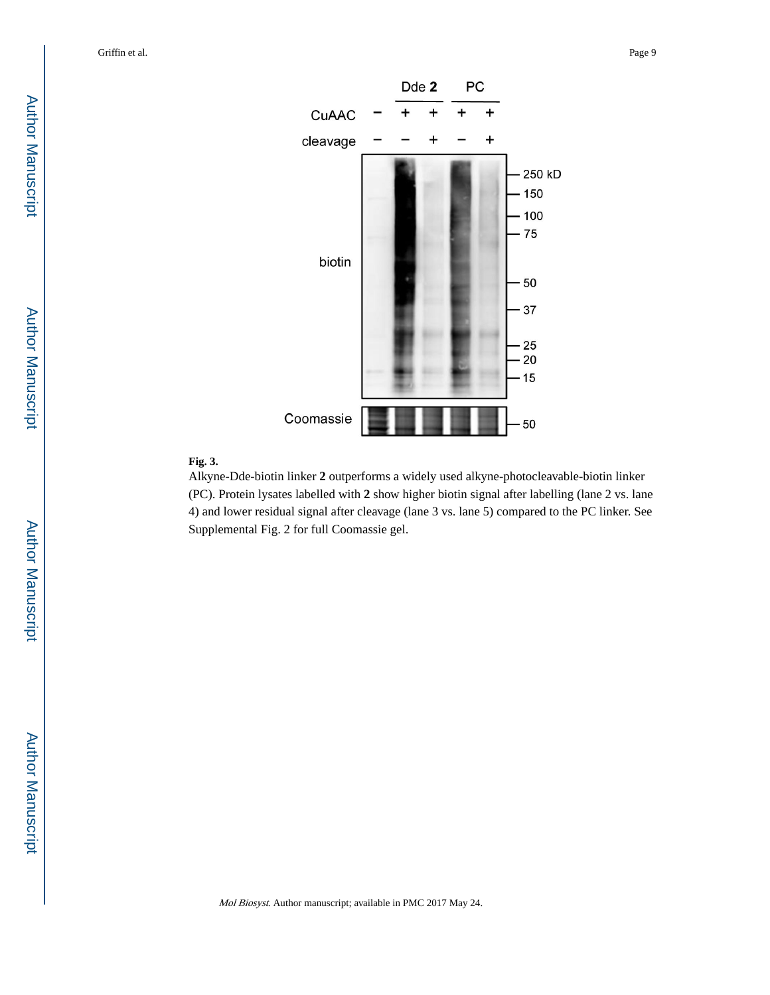

#### **Fig. 3.**

Alkyne-Dde-biotin linker **2** outperforms a widely used alkyne-photocleavable-biotin linker (PC). Protein lysates labelled with **2** show higher biotin signal after labelling (lane 2 vs. lane 4) and lower residual signal after cleavage (lane 3 vs. lane 5) compared to the PC linker. See Supplemental Fig. 2 for full Coomassie gel.